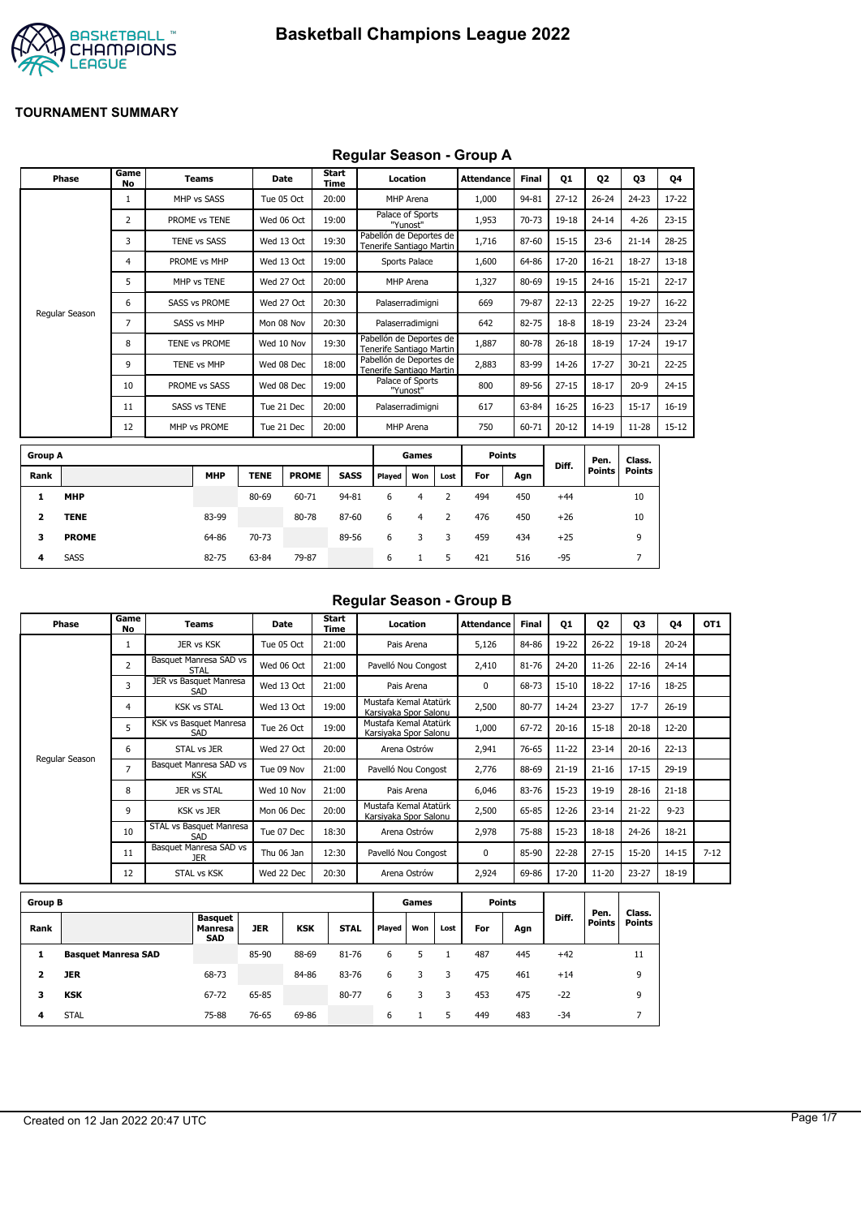

### **Regular Season - Group A**

|                | Phase          | Game<br>No     | <b>Teams</b>         | Date        |              | <b>Start</b><br><b>Time</b> |             |                                                     | Location       |                | <b>Attendance</b> | <b>Final</b> | 01        | <b>Q2</b>      | 03                      | 04        |
|----------------|----------------|----------------|----------------------|-------------|--------------|-----------------------------|-------------|-----------------------------------------------------|----------------|----------------|-------------------|--------------|-----------|----------------|-------------------------|-----------|
|                |                | 1              | MHP vs SASS          | Tue 05 Oct  |              | 20:00                       |             |                                                     | MHP Arena      |                | 1,000             | 94-81        | $27 - 12$ | $26 - 24$      | $24 - 23$               | $17 - 22$ |
|                |                | $\overline{2}$ | PROME vs TENE        |             | Wed 06 Oct   | 19:00                       |             | Palace of Sports                                    | "Yunost"       |                | 1,953             | $70 - 73$    | 19-18     | $24 - 14$      | $4 - 26$                | $23 - 15$ |
|                |                | 3              | <b>TENE vs SASS</b>  |             | Wed 13 Oct   | 19:30                       |             | Pabellón de Deportes de<br>Tenerife Santiago Martin |                |                | 1,716             | 87-60        | $15 - 15$ | $23 - 6$       | $21 - 14$               | $28 - 25$ |
|                |                | 4              | PROME vs MHP         |             | Wed 13 Oct   | 19:00                       |             |                                                     | Sports Palace  |                | 1,600             | 64-86        | 17-20     | $16 - 21$      | 18-27                   | $13 - 18$ |
|                |                | 5              | MHP vs TENE          |             | Wed 27 Oct   | 20:00                       |             |                                                     | MHP Arena      |                | 1,327             | 80-69        | 19-15     | $24 - 16$      | $15 - 21$               | $22 - 17$ |
|                |                | 6              | <b>SASS vs PROME</b> |             | Wed 27 Oct   | 20:30                       |             | Palaserradimigni                                    |                |                | 669               | 79-87        | $22 - 13$ | $22 - 25$      | 19-27                   | $16 - 22$ |
|                | Regular Season | 7              | SASS vs MHP          | Mon 08 Nov  |              | 20:30                       |             | Palaserradimigni                                    |                |                | 642               | 82-75        | $18-8$    | 18-19          | $23 - 24$               | $23 - 24$ |
|                |                | 8              | TENE vs PROME        | Wed 10 Nov  |              | 19:30                       |             | Pabellón de Deportes de<br>Tenerife Santiago Martin |                |                | 1,887             | 80-78        | $26 - 18$ | 18-19          | $17 - 24$               | $19-17$   |
|                |                | 9              | TENE vs MHP          |             | Wed 08 Dec   | 18:00                       |             | Pabellón de Deportes de<br>Tenerife Santiago Martin |                |                | 2,883             | 83-99        | 14-26     | $17 - 27$      | $30 - 21$               | $22 - 25$ |
|                |                | 10             | PROME vs SASS        |             | Wed 08 Dec   | 19:00                       |             | Palace of Sports                                    | "Yunost"       |                | 800               | 89-56        | $27 - 15$ | $18 - 17$      | $20-9$                  | $24 - 15$ |
|                |                | 11             | <b>SASS vs TENE</b>  |             | Tue 21 Dec   | 20:00                       |             | Palaserradimigni                                    |                |                | 617               | 63-84        | $16 - 25$ | $16 - 23$      | $15 - 17$               | $16-19$   |
|                |                | 12             | MHP vs PROME         | Tue 21 Dec  |              | 20:00                       |             |                                                     | MHP Arena      |                | 750               | 60-71        | $20 - 12$ | $14 - 19$      | $11 - 28$               | $15 - 12$ |
| <b>Group A</b> |                |                |                      |             |              |                             |             |                                                     | Games          |                | <b>Points</b>     |              |           |                |                         |           |
| Rank           |                |                | <b>MHP</b>           | <b>TENE</b> | <b>PROME</b> |                             | <b>SASS</b> | Played                                              | Won            | Lost           | For               | Agn          | Diff.     | Pen.<br>Points | Class.<br><b>Points</b> |           |
| 1              | <b>MHP</b>     |                |                      | 80-69       | 60-71        |                             | 94-81       | 6                                                   | $\overline{4}$ | $\overline{2}$ | 494               | 450          | $+44$     |                | 10                      |           |
| 2              | <b>TENE</b>    |                | 83-99                |             | 80-78        |                             | 87-60       | 6                                                   | $\overline{4}$ | 2              | 476               | 450          | $+26$     |                | 10                      |           |
| з              | <b>PROME</b>   |                | 64-86                | 70-73       |              |                             | 89-56       | 6                                                   | 3              | 3              | 459               | 434          | $+25$     |                | 9                       |           |

**4** SASS 82-75 63-84 79-87 6 1 5 421 516 -95 7

## **Regular Season - Group B**

| Phase          | Game<br>No     | Teams                                | Date       | Start<br>Time | Location                                       | <b>Attendance</b> | <b>Final</b> | 01        | 02        | 03        | 04        | OT <sub>1</sub> |
|----------------|----------------|--------------------------------------|------------|---------------|------------------------------------------------|-------------------|--------------|-----------|-----------|-----------|-----------|-----------------|
|                |                | JER vs KSK                           | Tue 05 Oct | 21:00         | Pais Arena                                     | 5,126             | 84-86        | 19-22     | $26 - 22$ | $19 - 18$ | $20 - 24$ |                 |
|                | $\overline{2}$ | Basquet Manresa SAD vs<br>STAL       | Wed 06 Oct | 21:00         | Pavelló Nou Congost                            | 2,410             | 81-76        | 24-20     | $11 - 26$ | $22 - 16$ | $24 - 14$ |                 |
|                | 3              | JER vs Basquet Manresa<br>SAD        | Wed 13 Oct | 21:00         | Pais Arena                                     | $\Omega$          | 68-73        | $15 - 10$ | 18-22     | $17 - 16$ | 18-25     |                 |
|                | 4              | <b>KSK vs STAL</b>                   | Wed 13 Oct | 19:00         | Mustafa Kemal Atatürk<br>Karsivaka Spor Salonu | 2,500             | 80-77        | 14-24     | $23 - 27$ | $17 - 7$  | $26 - 19$ |                 |
|                | 5              | KSK vs Basquet Manresa<br>SAD        | Tue 26 Oct | 19:00         | Mustafa Kemal Atatürk<br>Karsiyaka Spor Salonu | 1,000             | 67-72        | $20 - 16$ | $15 - 18$ | $20 - 18$ | $12 - 20$ |                 |
|                | 6              | STAL vs JER                          | Wed 27 Oct | 20:00         | Arena Ostrów                                   | 2,941             | 76-65        | $11 - 22$ | $23 - 14$ | $20 - 16$ | $22 - 13$ |                 |
| Regular Season | 7              | Basquet Manresa SAD vs<br><b>KSK</b> | Tue 09 Nov | 21:00         | Pavelló Nou Congost                            | 2,776             | 88-69        | $21 - 19$ | $21 - 16$ | $17 - 15$ | 29-19     |                 |
|                | 8              | JER vs STAL                          | Wed 10 Nov | 21:00         | Pais Arena                                     | 6,046             | 83-76        | $15-23$   | 19-19     | $28 - 16$ | $21 - 18$ |                 |
|                | 9              | <b>KSK vs JER</b>                    | Mon 06 Dec | 20:00         | Mustafa Kemal Atatürk<br>Karsiyaka Spor Salonu | 2,500             | 65-85        | 12-26     | $23 - 14$ | $21 - 22$ | $9 - 23$  |                 |
|                | 10             | STAL vs Basquet Manresa<br>SAD       | Tue 07 Dec | 18:30         | Arena Ostrów                                   | 2,978             | 75-88        | $15 - 23$ | $18 - 18$ | $24 - 26$ | 18-21     |                 |
|                | 11             | Basquet Manresa SAD vs<br><b>JER</b> | Thu 06 Jan | 12:30         | Pavelló Nou Congost                            | $\Omega$          | 85-90        | $22 - 28$ | $27 - 15$ | $15 - 20$ | $14 - 15$ | $7 - 12$        |
|                | 12             | STAL vs KSK                          | Wed 22 Dec | 20:30         | Arena Ostrów                                   | 2,924             | 69-86        | 17-20     | $11 - 20$ | $23 - 27$ | 18-19     |                 |

| <b>Group B</b> |                            |                                         |       |            |             |        | Games |      |     | <b>Points</b> |       |                       |                         |
|----------------|----------------------------|-----------------------------------------|-------|------------|-------------|--------|-------|------|-----|---------------|-------|-----------------------|-------------------------|
| Rank           |                            | <b>Basquet</b><br>Manresa<br><b>SAD</b> | JER   | <b>KSK</b> | <b>STAL</b> | Played | Won   | Lost | For | Agn           | Diff. | Pen.<br><b>Points</b> | Class.<br><b>Points</b> |
|                | <b>Basquet Manresa SAD</b> |                                         | 85-90 | 88-69      | 81-76       | 6      |       |      | 487 | 445           | $+42$ |                       | 11                      |
|                | <b>JER</b>                 | 68-73                                   |       | 84-86      | 83-76       | 6      |       | 3    | 475 | 461           | $+14$ |                       | 9                       |
| з              | <b>KSK</b>                 | 67-72                                   | 65-85 |            | 80-77       | 6      |       | 3    | 453 | 475           | $-22$ |                       | 9                       |
| 4              | <b>STAL</b>                | 75-88                                   | 76-65 | 69-86      |             | 6      |       | 5    | 449 | 483           | $-34$ |                       |                         |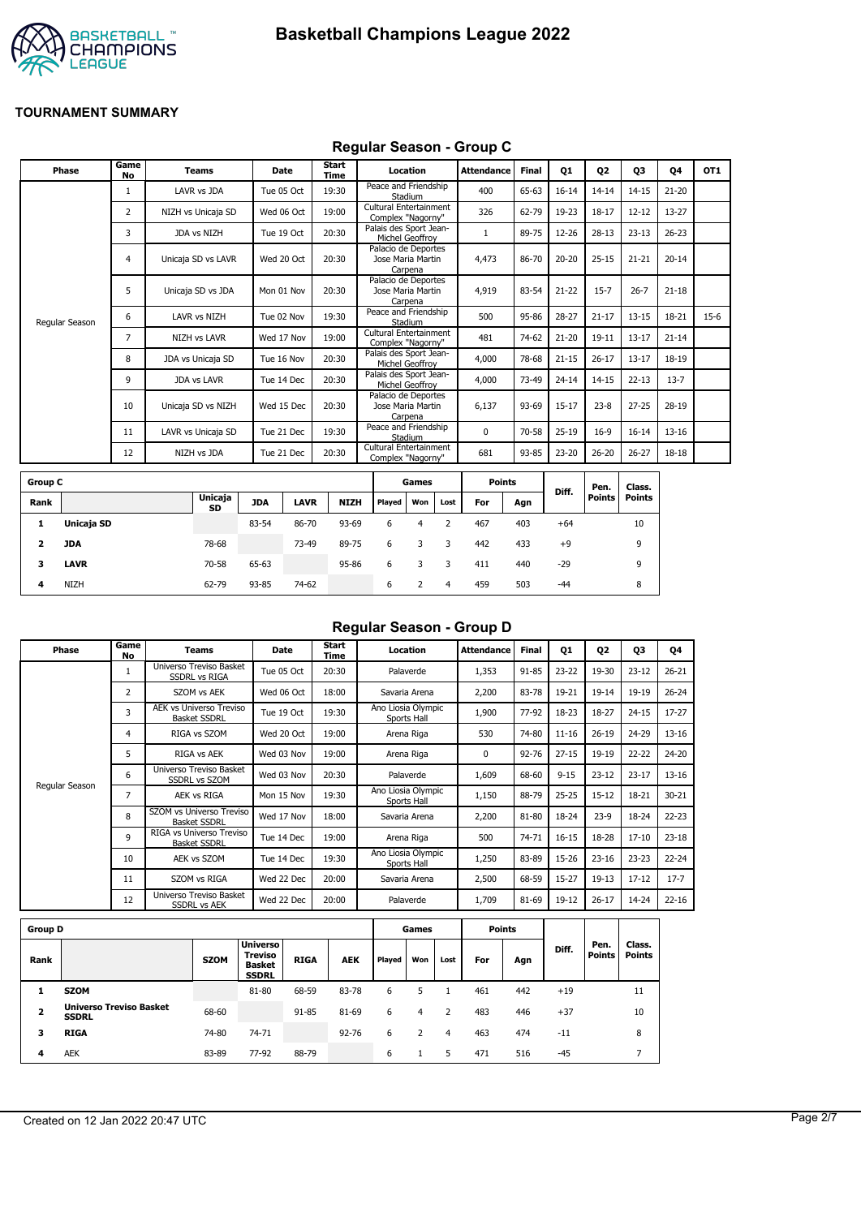



#### **Regular Season - Group C**

| Phase          | Game<br><b>No</b> | <b>Teams</b>        | Date       | Start<br>Time | Location                                            | <b>Attendance</b> | <b>Final</b> | Q1        | Q <sub>2</sub> | Q3        | Q4        | OT <sub>1</sub> |
|----------------|-------------------|---------------------|------------|---------------|-----------------------------------------------------|-------------------|--------------|-----------|----------------|-----------|-----------|-----------------|
|                | 1                 | LAVR vs JDA         | Tue 05 Oct | 19:30         | Peace and Friendship<br>Stadium                     | 400               | 65-63        | $16 - 14$ | $14 - 14$      | $14 - 15$ | $21 - 20$ |                 |
|                | 2                 | NIZH vs Unicaja SD  | Wed 06 Oct | 19:00         | Cultural Entertainment<br>Complex "Nagorny"         | 326               | 62-79        | 19-23     | $18 - 17$      | $12 - 12$ | 13-27     |                 |
|                | 3                 | JDA vs NIZH         | Tue 19 Oct | 20:30         | Palais des Sport Jean-<br>Michel Geoffroy           |                   | 89-75        | 12-26     | $28-13$        | $23 - 13$ | $26 - 23$ |                 |
|                | 4                 | Unicaja SD vs LAVR  | Wed 20 Oct | 20:30         | Palacio de Deportes<br>Jose Maria Martin<br>Carpena | 4,473             | 86-70        | $20 - 20$ | $25 - 15$      | $21 - 21$ | $20 - 14$ |                 |
|                | 5                 | Unicaja SD vs JDA   | Mon 01 Nov | 20:30         | Palacio de Deportes<br>Jose Maria Martin<br>Carpena | 4,919             | 83-54        | $21 - 22$ | $15 - 7$       | $26 - 7$  | $21 - 18$ |                 |
| Regular Season | 6                 | LAVR vs NIZH        | Tue 02 Nov | 19:30         | Peace and Friendship<br>Stadium                     | 500               | 95-86        | $28 - 27$ | $21 - 17$      | $13 - 15$ | 18-21     | $15-6$          |
|                | $\overline{7}$    | <b>NIZH vs LAVR</b> | Wed 17 Nov | 19:00         | Cultural Entertainment<br>Complex "Nagorny"         | 481               | 74-62        | $21 - 20$ | $19 - 11$      | $13 - 17$ | $21 - 14$ |                 |
|                | 8                 | JDA vs Unicaja SD   | Tue 16 Nov | 20:30         | Palais des Sport Jean-<br>Michel Geoffroy           | 4,000             | 78-68        | $21 - 15$ | $26 - 17$      | $13 - 17$ | 18-19     |                 |
|                | 9                 | <b>JDA vs LAVR</b>  | Tue 14 Dec | 20:30         | Palais des Sport Jean-<br>Michel Geoffrov           | 4,000             | 73-49        | $24 - 14$ | $14 - 15$      | $22 - 13$ | $13 - 7$  |                 |
|                | 10                | Unicaja SD vs NIZH  | Wed 15 Dec | 20:30         | Palacio de Deportes<br>Jose Maria Martin<br>Carpena | 6,137             | 93-69        | $15 - 17$ | $23 - 8$       | $27 - 25$ | 28-19     |                 |
|                | 11                | LAVR vs Unicaja SD  | Tue 21 Dec | 19:30         | Peace and Friendship<br>Stadium                     | $\Omega$          | 70-58        | $25-19$   | $16-9$         | $16 - 14$ | $13 - 16$ |                 |
|                | 12                | NIZH vs JDA         | Tue 21 Dec | 20:30         | Cultural Entertainment<br>Complex "Nagorny"         | 681               | 93-85        | 23-20     | $26 - 20$      | $26 - 27$ | 18-18     |                 |
|                |                   |                     |            |               |                                                     |                   |              |           |                |           |           |                 |

| <b>Group C</b> |             |                      |            |             |             |        | Games |      | <b>Points</b> |     |       | Pen.   | Class. |
|----------------|-------------|----------------------|------------|-------------|-------------|--------|-------|------|---------------|-----|-------|--------|--------|
| Rank           |             | <b>Unicaja</b><br>SD | <b>JDA</b> | <b>LAVR</b> | <b>NIZH</b> | Played | Won   | Lost | For           | Agn | Diff. | Points | Points |
| л.             | Unicaja SD  |                      | 83-54      | 86-70       | 93-69       | 6      | 4     |      | 467           | 403 | $+64$ |        | 10     |
| 2              | JDA         | 78-68                |            | 73-49       | 89-75       | 6      | 3     | 3    | 442           | 433 | $+9$  |        | 9      |
| 3              | <b>LAVR</b> | 70-58                | 65-63      |             | 95-86       | 6      |       |      | 411           | 440 | $-29$ |        | 9      |
| 4              | <b>NIZH</b> | 62-79                | 93-85      | 74-62       |             | 6      |       | 4    | 459           | 503 | $-44$ |        | 8      |

# **Regular Season - Group D**

| Phase          | Game<br>No | Teams                                                 | <b>Date</b> | Start<br>Time | Location                          | <b>Attendance</b> | Final | Q1        | Q <sub>2</sub> | Q3        | Q4        |
|----------------|------------|-------------------------------------------------------|-------------|---------------|-----------------------------------|-------------------|-------|-----------|----------------|-----------|-----------|
|                | 1          | Universo Treviso Basket<br><b>SSDRL vs RIGA</b>       | Tue 05 Oct  | 20:30         | Palaverde                         | 1,353             | 91-85 | 23-22     | 19-30          | $23 - 12$ | $26 - 21$ |
|                | 2          | SZOM vs AEK                                           | Wed 06 Oct  | 18:00         | Savaria Arena                     | 2,200             | 83-78 | 19-21     | $19 - 14$      | 19-19     | $26 - 24$ |
|                | 3          | <b>AEK vs Universo Treviso</b><br><b>Basket SSDRL</b> | Tue 19 Oct  | 19:30         | Ano Liosia Olympic<br>Sports Hall | 1,900             | 77-92 | 18-23     | 18-27          | $24 - 15$ | $17-27$   |
|                | 4          | RIGA vs SZOM                                          | Wed 20 Oct  | 19:00         | Arena Riga                        | 530               | 74-80 | $11 - 16$ | $26 - 19$      | 24-29     | $13 - 16$ |
|                | 5          | RIGA vs AEK                                           | Wed 03 Nov  | 19:00         | Arena Riga                        | 0                 | 92-76 | $27 - 15$ | 19-19          | 22-22     | $24 - 20$ |
|                | 6          | Universo Treviso Basket<br><b>SSDRL vs SZOM</b>       | Wed 03 Nov  | 20:30         | Palaverde                         | 1,609             | 68-60 | $9 - 15$  | $23 - 12$      | $23 - 17$ | $13 - 16$ |
| Regular Season | 7          | AEK vs RIGA                                           | Mon 15 Nov  | 19:30         | Ano Liosia Olympic<br>Sports Hall | 1,150             | 88-79 | $25 - 25$ | $15 - 12$      | 18-21     | $30 - 21$ |
|                | 8          | SZOM vs Universo Treviso<br><b>Basket SSDRL</b>       | Wed 17 Nov  | 18:00         | Savaria Arena                     | 2,200             | 81-80 | 18-24     | $23-9$         | 18-24     | $22 - 23$ |
|                | 9          | RIGA vs Universo Treviso<br><b>Basket SSDRL</b>       | Tue 14 Dec  | 19:00         | Arena Riga                        | 500               | 74-71 | $16 - 15$ | 18-28          | $17 - 10$ | $23 - 18$ |
|                | 10         | AEK vs SZOM                                           | Tue 14 Dec  | 19:30         | Ano Liosia Olympic<br>Sports Hall | 1,250             | 83-89 | 15-26     | $23 - 16$      | $23 - 23$ | $22 - 24$ |
|                | 11         | SZOM vs RIGA                                          | Wed 22 Dec  | 20:00         | Savaria Arena                     | 2,500             | 68-59 | $15 - 27$ | $19-13$        | $17 - 12$ | $17 - 7$  |
|                | 12         | Universo Treviso Basket<br><b>SSDRL vs AEK</b>        | Wed 22 Dec  | 20:00         | Palaverde                         | 1,709             | 81-69 | 19-12     | $26 - 17$      | 14-24     | $22 - 16$ |
| . .            |            |                                                       |             |               | $\sim$                            | .                 |       |           |                |           |           |

| <b>Group D</b>          |                                                |             |                                                                    |             |            |        | Games |      |     | Points |       |                       |                         |
|-------------------------|------------------------------------------------|-------------|--------------------------------------------------------------------|-------------|------------|--------|-------|------|-----|--------|-------|-----------------------|-------------------------|
| Rank                    |                                                | <b>SZOM</b> | <b>Universo</b><br><b>Treviso</b><br><b>Basket</b><br><b>SSDRL</b> | <b>RIGA</b> | <b>AEK</b> | Played | Won   | Lost | For | Agn    | Diff. | Pen.<br><b>Points</b> | Class.<br><b>Points</b> |
|                         | <b>SZOM</b>                                    |             | 81-80                                                              | 68-59       | 83-78      | 6      |       |      | 461 | 442    | $+19$ |                       | 11                      |
| $\overline{\mathbf{2}}$ | <b>Universo Treviso Basket</b><br><b>SSDRL</b> | 68-60       |                                                                    | 91-85       | 81-69      | 6      | 4     |      | 483 | 446    | $+37$ |                       | 10                      |
| з                       | <b>RIGA</b>                                    | 74-80       | 74-71                                                              |             | $92 - 76$  | 6      |       | 4    | 463 | 474    | $-11$ |                       | 8                       |
| 4                       | <b>AEK</b>                                     | 83-89       | 77-92                                                              | 88-79       |            | 6      |       | 5    | 471 | 516    | $-45$ |                       |                         |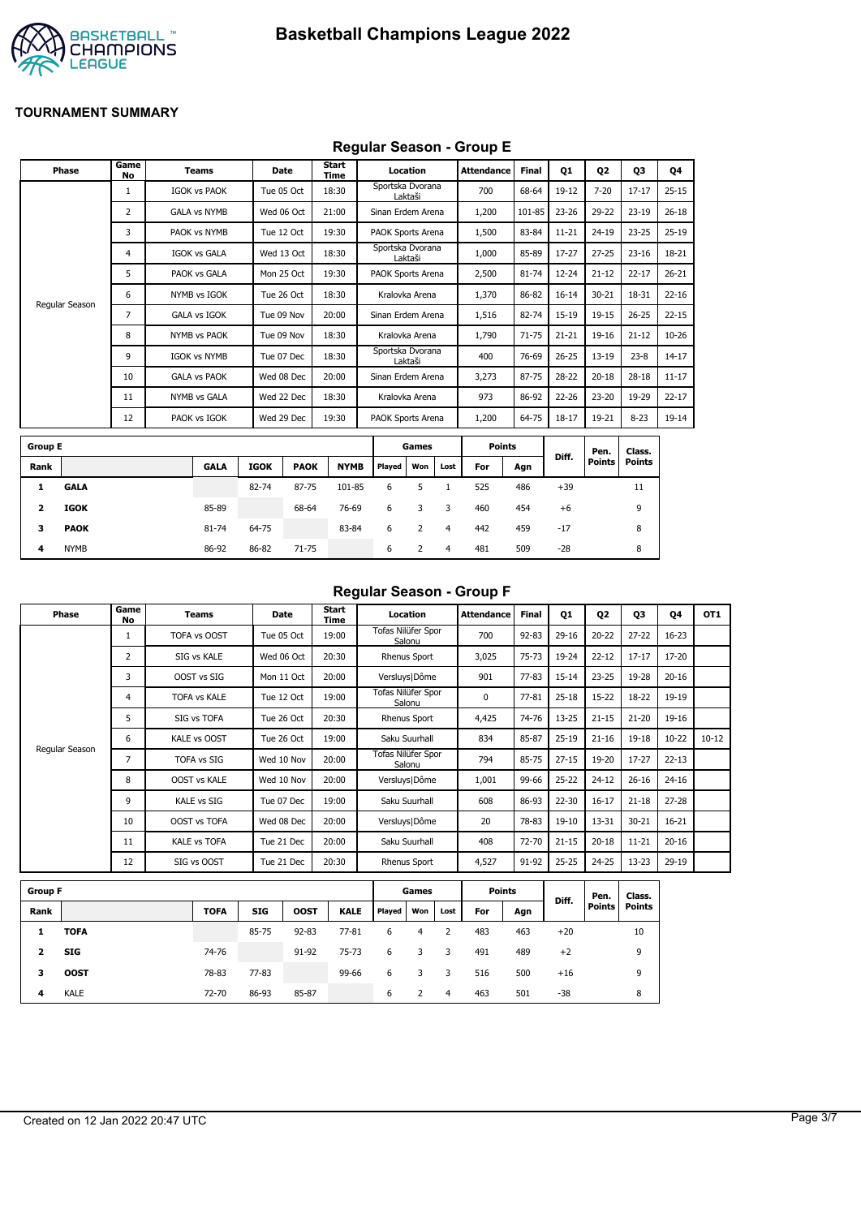

## **Regular Season - Group E**

|                | Phase          | Game<br>No     | <b>Teams</b>        |             | <b>Date</b> | Start<br>Time |                   | Location |                | <b>Attendance</b> | <b>Final</b> | 01        | <b>Q2</b>     | 03            | Q4        |
|----------------|----------------|----------------|---------------------|-------------|-------------|---------------|-------------------|----------|----------------|-------------------|--------------|-----------|---------------|---------------|-----------|
|                |                | $\mathbf{1}$   | <b>IGOK vs PAOK</b> |             | Tue 05 Oct  | 18:30         | Sportska Dvorana  | Laktaši  |                | 700               | 68-64        | $19-12$   | $7 - 20$      | $17 - 17$     | $25 - 15$ |
|                |                | $\overline{2}$ | <b>GALA vs NYMB</b> |             | Wed 06 Oct  | 21:00         | Sinan Erdem Arena |          |                | 1,200             | 101-85       | $23 - 26$ | 29-22         | $23 - 19$     | $26 - 18$ |
|                |                | 3              | PAOK vs NYMB        |             | Tue 12 Oct  | 19:30         | PAOK Sports Arena |          |                | 1,500             | 83-84        | $11 - 21$ | $24 - 19$     | $23 - 25$     | $25-19$   |
|                |                | 4              | <b>IGOK vs GALA</b> |             | Wed 13 Oct  | 18:30         | Sportska Dvorana  | Laktaši  |                | 1,000             | 85-89        | 17-27     | $27 - 25$     | $23 - 16$     | 18-21     |
|                |                | 5              | PAOK vs GALA        |             | Mon 25 Oct  | 19:30         | PAOK Sports Arena |          |                | 2,500             | 81-74        | 12-24     | $21 - 12$     | $22 - 17$     | $26 - 21$ |
|                |                | 6              | NYMB vs IGOK        |             | Tue 26 Oct  | 18:30         | Kralovka Arena    |          |                | 1,370             | 86-82        | $16 - 14$ | $30 - 21$     | 18-31         | $22 - 16$ |
|                | Regular Season | 7              | <b>GALA vs IGOK</b> |             | Tue 09 Nov  | 20:00         | Sinan Erdem Arena |          |                | 1,516             | 82-74        | 15-19     | $19 - 15$     | $26 - 25$     | $22 - 15$ |
|                |                | 8              | <b>NYMB vs PAOK</b> |             | Tue 09 Nov  | 18:30         | Kralovka Arena    |          |                | 1,790             | $71 - 75$    | $21 - 21$ | $19 - 16$     | $21 - 12$     | $10 - 26$ |
|                |                | 9              | <b>IGOK vs NYMB</b> |             | Tue 07 Dec  | 18:30         | Sportska Dvorana  | Laktaši  |                | 400               | 76-69        | $26 - 25$ | $13 - 19$     | $23 - 8$      | $14 - 17$ |
|                |                | 10             | <b>GALA vs PAOK</b> |             | Wed 08 Dec  | 20:00         | Sinan Erdem Arena |          |                | 3,273             | 87-75        | 28-22     | $20 - 18$     | $28 - 18$     | $11 - 17$ |
|                |                | 11             | NYMB vs GALA        |             | Wed 22 Dec  | 18:30         | Kralovka Arena    |          |                | 973               | 86-92        | 22-26     | $23 - 20$     | 19-29         | $22 - 17$ |
|                |                | 12             | PAOK vs IGOK        |             | Wed 29 Dec  | 19:30         | PAOK Sports Arena |          |                | 1,200             | 64-75        | $18 - 17$ | 19-21         | $8 - 23$      | $19-14$   |
| <b>Group E</b> |                |                |                     |             |             |               |                   | Games    |                | <b>Points</b>     |              |           | Pen.          | Class.        |           |
| Rank           |                |                | <b>GALA</b>         | <b>IGOK</b> | <b>PAOK</b> | <b>NYMB</b>   | Played            | Won      | Lost           | For               | Agn          | Diff.     | <b>Points</b> | <b>Points</b> |           |
| 1              | <b>GALA</b>    |                |                     | 82-74       | 87-75       | 101-85        | 6                 | 5        | $\mathbf{1}$   | 525               | 486          | $+39$     |               | 11            |           |
| 2              | <b>IGOK</b>    |                | 85-89               |             | 68-64       | 76-69         | 6                 | 3        | 3              | 460               | 454          | $+6$      |               | 9             |           |
| 3              | <b>PAOK</b>    |                | 81-74               | 64-75       |             | 83-84         | 6                 | 2        | $\overline{4}$ | 442               | 459          | $-17$     |               | 8             |           |
| 4              | <b>NYMB</b>    |                | 86-92               | 86-82       | 71-75       |               | 6                 | 2        | 4              | 481               | 509          | $-28$     |               | 8             |           |

#### **Regular Season - Group F**

| Phase          | Game<br>No | Teams               | Date       | <b>Start</b><br>Time | Location                     | <b>Attendance</b> | <b>Final</b> | 01        | 02        | Q <sub>3</sub> | 04        | OT <sub>1</sub> |
|----------------|------------|---------------------|------------|----------------------|------------------------------|-------------------|--------------|-----------|-----------|----------------|-----------|-----------------|
|                |            | TOFA vs OOST        | Tue 05 Oct | 19:00                | Tofas Nilüfer Spor<br>Salonu | 700               | $92 - 83$    | $29-16$   | $20 - 22$ | $27 - 22$      | $16 - 23$ |                 |
|                | 2          | SIG vs KALE         | Wed 06 Oct | 20:30                | Rhenus Sport                 | 3,025             | $75 - 73$    | 19-24     | $22 - 12$ | $17 - 17$      | 17-20     |                 |
|                | 3          | OOST vs SIG         | Mon 11 Oct | 20:00                | Versluys   Dôme              | 901               | $77 - 83$    | $15 - 14$ | $23 - 25$ | 19-28          | $20 - 16$ |                 |
|                | 4          | <b>TOFA vs KALE</b> | Tue 12 Oct | 19:00                | Tofas Nilüfer Spor<br>Salonu | 0                 | $77 - 81$    | $25 - 18$ | $15 - 22$ | 18-22          | 19-19     |                 |
|                | 5          | SIG vs TOFA         | Tue 26 Oct | 20:30                | <b>Rhenus Sport</b>          | 4,425             | 74-76        | $13 - 25$ | $21 - 15$ | $21 - 20$      | 19-16     |                 |
|                | 6          | KALE vs OOST        | Tue 26 Oct | 19:00                | Saku Suurhall                | 834               | 85-87        | $25 - 19$ | $21 - 16$ | $19 - 18$      | $10 - 22$ | $10 - 12$       |
| Regular Season | 7          | <b>TOFA vs SIG</b>  | Wed 10 Nov | 20:00                | Tofas Nilüfer Spor<br>Salonu | 794               | 85-75        | $27 - 15$ | 19-20     | $17 - 27$      | $22 - 13$ |                 |
|                | 8          | <b>OOST vs KALE</b> | Wed 10 Nov | 20:00                | Versluys   Dôme              | 1,001             | 99-66        | $25 - 22$ | $24 - 12$ | $26 - 16$      | $24 - 16$ |                 |
|                | 9          | KALE vs SIG         | Tue 07 Dec | 19:00                | Saku Suurhall                | 608               | 86-93        | $22 - 30$ | $16 - 17$ | $21 - 18$      | $27 - 28$ |                 |
|                | 10         | <b>OOST vs TOFA</b> | Wed 08 Dec | 20:00                | Versluys   Dôme              | 20                | 78-83        | 19-10     | $13 - 31$ | $30 - 21$      | $16 - 21$ |                 |
|                | 11         | <b>KALE vs TOFA</b> | Tue 21 Dec | 20:00                | Saku Suurhall                | 408               | 72-70        | $21 - 15$ | $20 - 18$ | $11 - 21$      | $20 - 16$ |                 |
|                | 12         | SIG vs OOST         | Tue 21 Dec | 20:30                | <b>Rhenus Sport</b>          | 4,527             | 91-92        | 25-25     | 24-25     | $13 - 23$      | 29-19     |                 |

| <b>Group F</b> |             |             |            |             |             |        | Games |      |     | <b>Points</b> | Diff. | Pen.          | Class. |
|----------------|-------------|-------------|------------|-------------|-------------|--------|-------|------|-----|---------------|-------|---------------|--------|
| Rank           |             | <b>TOFA</b> | <b>SIG</b> | <b>OOST</b> | <b>KALE</b> | Played | Won   | Lost | For | Agn           |       | <b>Points</b> | Points |
|                | <b>TOFA</b> |             | 85-75      | $92 - 83$   | $77 - 81$   | 6      | 4     |      | 483 | 463           | $+20$ |               | 10     |
| 2              | <b>SIG</b>  | 74-76       |            | 91-92       | 75-73       | 6      | 3     | 3    | 491 | 489           | $+2$  |               | 9      |
| з              | <b>OOST</b> | 78-83       | 77-83      |             | 99-66       | 6      | 3     | 3    | 516 | 500           | $+16$ |               | 9      |
| 4              | <b>KALE</b> | 72-70       | 86-93      | 85-87       |             | 6      |       | 4    | 463 | 501           | -38   |               | 8      |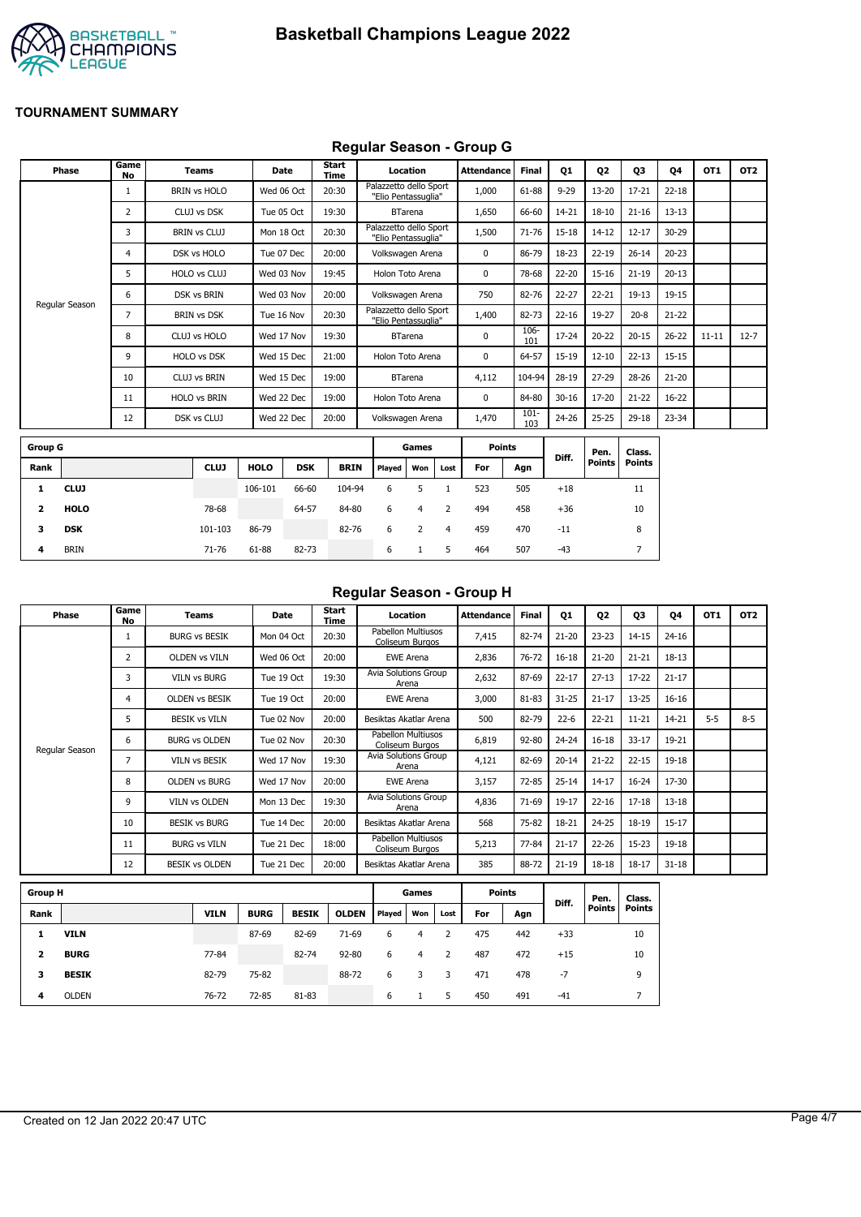

## **Regular Season - Group G**

|                | <b>Phase</b>   | Game<br>No | <b>Teams</b>        | Date        |            | <b>Start</b><br>Time |                                               | Location       |      | <b>Attendance</b> | <b>Final</b>   | Q1        | Q <sub>2</sub> | Q3            | 04        | OT1       | OT <sub>2</sub> |
|----------------|----------------|------------|---------------------|-------------|------------|----------------------|-----------------------------------------------|----------------|------|-------------------|----------------|-----------|----------------|---------------|-----------|-----------|-----------------|
|                |                |            | <b>BRIN vs HOLO</b> | Wed 06 Oct  |            | 20:30                | Palazzetto dello Sport<br>"Elio Pentassuglia" |                |      | 1,000             | 61-88          | $9 - 29$  | $13 - 20$      | $17 - 21$     | $22 - 18$ |           |                 |
|                |                | 2          | CLUJ vs DSK         | Tue 05 Oct  |            | 19:30                |                                               | <b>BTarena</b> |      | 1,650             | 66-60          | 14-21     | $18 - 10$      | $21 - 16$     | $13 - 13$ |           |                 |
|                |                | 3          | <b>BRIN vs CLUJ</b> | Mon 18 Oct  |            | 20:30                | Palazzetto dello Sport<br>"Elio Pentassuglia" |                |      | 1,500             | 71-76          | 15-18     | $14 - 12$      | $12 - 17$     | 30-29     |           |                 |
|                |                | 4          | DSK vs HOLO         | Tue 07 Dec  |            | 20:00                | Volkswagen Arena                              |                |      | 0                 | 86-79          | 18-23     | $22 - 19$      | $26 - 14$     | $20 - 23$ |           |                 |
|                |                | 5          | HOLO vs CLUJ        | Wed 03 Nov  |            | 19:45                | Holon Toto Arena                              |                |      | 0                 | 78-68          | 22-20     | $15 - 16$      | $21 - 19$     | $20 - 13$ |           |                 |
|                |                | 6          | <b>DSK vs BRIN</b>  | Wed 03 Nov  |            | 20:00                | Volkswagen Arena                              |                |      | 750               | 82-76          | 22-27     | $22 - 21$      | $19 - 13$     | 19-15     |           |                 |
|                | Regular Season | 7          | <b>BRIN vs DSK</b>  | Tue 16 Nov  |            | 20:30                | Palazzetto dello Sport<br>"Elio Pentassuglia" |                |      | 1,400             | 82-73          | $22 - 16$ | 19-27          | $20 - 8$      | $21 - 22$ |           |                 |
|                |                | 8          | CLUJ vs HOLO        | Wed 17 Nov  |            | 19:30                |                                               | <b>BTarena</b> |      | $\mathbf 0$       | 106-<br>101    | 17-24     | $20 - 22$      | $20 - 15$     | $26 - 22$ | $11 - 11$ | $12 - 7$        |
|                |                | 9          | HOLO vs DSK         | Wed 15 Dec  |            | 21:00                | Holon Toto Arena                              |                |      | 0                 | 64-57          | 15-19     | $12 - 10$      | $22 - 13$     | $15 - 15$ |           |                 |
|                |                | 10         | <b>CLUJ vs BRIN</b> | Wed 15 Dec  |            | 19:00                |                                               | <b>BTarena</b> |      | 4,112             | 104-94         | 28-19     | $27 - 29$      | 28-26         | $21 - 20$ |           |                 |
|                |                | 11         | <b>HOLO vs BRIN</b> | Wed 22 Dec  |            | 19:00                | Holon Toto Arena                              |                |      | 0                 | 84-80          | $30 - 16$ | 17-20          | $21 - 22$     | 16-22     |           |                 |
|                |                | 12         | DSK vs CLUJ         | Wed 22 Dec  |            | 20:00                | Volkswagen Arena                              |                |      | 1,470             | $101 -$<br>103 | 24-26     | $25 - 25$      | 29-18         | 23-34     |           |                 |
| <b>Group G</b> |                |            |                     |             |            |                      |                                               | Games          |      | <b>Points</b>     |                |           | Pen.           | Class.        |           |           |                 |
| Rank           |                |            | <b>CLUJ</b>         | <b>HOLO</b> | <b>DSK</b> | <b>BRIN</b>          | Played                                        | Won            | Lost | For               | Agn            | Diff.     | <b>Points</b>  | <b>Points</b> |           |           |                 |
| 1              | <b>CLUJ</b>    |            |                     | 106-101     | 66-60      | 104-94               | 6                                             | 5              |      | 523               | 505            | $+18$     |                | 11            |           |           |                 |

| Regular Season - Group H |  |  |
|--------------------------|--|--|
|                          |  |  |

| Phase          | Game<br>No     | <b>Teams</b>          | Date       | Start<br>Time | Location<br>Attendance                |       | <b>Final</b> | Q1        | Q <sub>2</sub> | Q3        | <b>Q4</b> | OT <sub>1</sub> | OT <sub>2</sub> |
|----------------|----------------|-----------------------|------------|---------------|---------------------------------------|-------|--------------|-----------|----------------|-----------|-----------|-----------------|-----------------|
|                |                | <b>BURG vs BESIK</b>  | Mon 04 Oct | 20:30         | Pabellon Multiusos<br>Coliseum Burgos | 7,415 | 82-74        | $21 - 20$ | $23 - 23$      | $14 - 15$ | $24 - 16$ |                 |                 |
|                | $\overline{2}$ | <b>OLDEN vs VILN</b>  | Wed 06 Oct | 20:00         | <b>EWE Arena</b>                      | 2,836 | 76-72        | $16 - 18$ | $21 - 20$      | $21 - 21$ | 18-13     |                 |                 |
|                | 3              | <b>VILN vs BURG</b>   | Tue 19 Oct | 19:30         | Avia Solutions Group<br>Arena         | 2,632 | 87-69        | $22 - 17$ | $27 - 13$      | $17 - 22$ | $21 - 17$ |                 |                 |
|                | 4              | <b>OLDEN VS BESIK</b> | Tue 19 Oct | 20:00         | <b>EWE Arena</b>                      | 3,000 | 81-83        | $31 - 25$ | $21 - 17$      | $13 - 25$ | $16 - 16$ |                 |                 |
|                | 5.             | <b>BESIK vs VILN</b>  | Tue 02 Nov | 20:00         | Besiktas Akatlar Arena                | 500   | 82-79        | $22 - 6$  | $22 - 21$      | $11 - 21$ | 14-21     | $5 - 5$         | $8 - 5$         |
|                | 6              | <b>BURG vs OLDEN</b>  | Tue 02 Nov | 20:30         | Pabellon Multiusos<br>Coliseum Burgos | 6,819 | 92-80        | $24 - 24$ | $16 - 18$      | $33 - 17$ | 19-21     |                 |                 |
| Regular Season | 7              | <b>VILN vs BESIK</b>  | Wed 17 Nov | 19:30         | Avia Solutions Group<br>Arena         | 4,121 | 82-69        | $20 - 14$ | $21 - 22$      | $22 - 15$ | $19 - 18$ |                 |                 |
|                | 8              | <b>OLDEN vs BURG</b>  | Wed 17 Nov | 20:00         | <b>EWE Arena</b>                      | 3,157 | 72-85        | $25 - 14$ | $14 - 17$      | $16 - 24$ | 17-30     |                 |                 |
|                | 9              | <b>VILN vs OLDEN</b>  | Mon 13 Dec | 19:30         | <b>Avia Solutions Group</b><br>Arena  | 4,836 | 71-69        | 19-17     | $22 - 16$      | $17 - 18$ | $13 - 18$ |                 |                 |
|                | 10             | <b>BESIK vs BURG</b>  | Tue 14 Dec | 20:00         | Besiktas Akatlar Arena                | 568   | 75-82        | 18-21     | $24 - 25$      | 18-19     | $15 - 17$ |                 |                 |
|                | 11             | <b>BURG vs VILN</b>   | Tue 21 Dec | 18:00         | Pabellon Multiusos<br>Coliseum Burgos | 5,213 | 77-84        | $21 - 17$ | $22 - 26$      | $15 - 23$ | $19 - 18$ |                 |                 |
|                | 12             | <b>BESIK vs OLDEN</b> | Tue 21 Dec | 20:00         | Besiktas Akatlar Arena                | 385   | 88-72        | $21 - 19$ | $18 - 18$      | $18 - 17$ | $31 - 18$ |                 |                 |

| <b>Group H</b> |              |             |             |              |              |        | Games |      | <b>Points</b> |     | Diff. | Pen.   | Class. |
|----------------|--------------|-------------|-------------|--------------|--------------|--------|-------|------|---------------|-----|-------|--------|--------|
| Rank           |              | <b>VILN</b> | <b>BURG</b> | <b>BESIK</b> | <b>OLDEN</b> | Played | Won   | Lost | For           | Agn |       | Points | Points |
|                | <b>VILN</b>  |             | 87-69       | 82-69        | $71-69$      | 6      | 4     |      | 475           | 442 | $+33$ |        | 10     |
| 2              | <b>BURG</b>  | 77-84       |             | 82-74        | $92 - 80$    | 6      | 4     | 2    | 487           | 472 | $+15$ |        | 10     |
| з              | <b>BESIK</b> | 82-79       | 75-82       |              | 88-72        | 6      |       | 3    | 471           | 478 | -7    |        | 9      |
| 4              | <b>OLDEN</b> | 76-72       | 72-85       | 81-83        |              | 6      |       | 5    | 450           | 491 | $-41$ |        |        |

**2 HOLO** 78-68 64-57 84-80 6 4 2 494 458 +36 10 **3 DSK** 101-103 86-79 82-76 6 2 4 459 470 -11 8 **4** BRIN 71-76 61-88 82-73 6 1 5 464 507 -43 7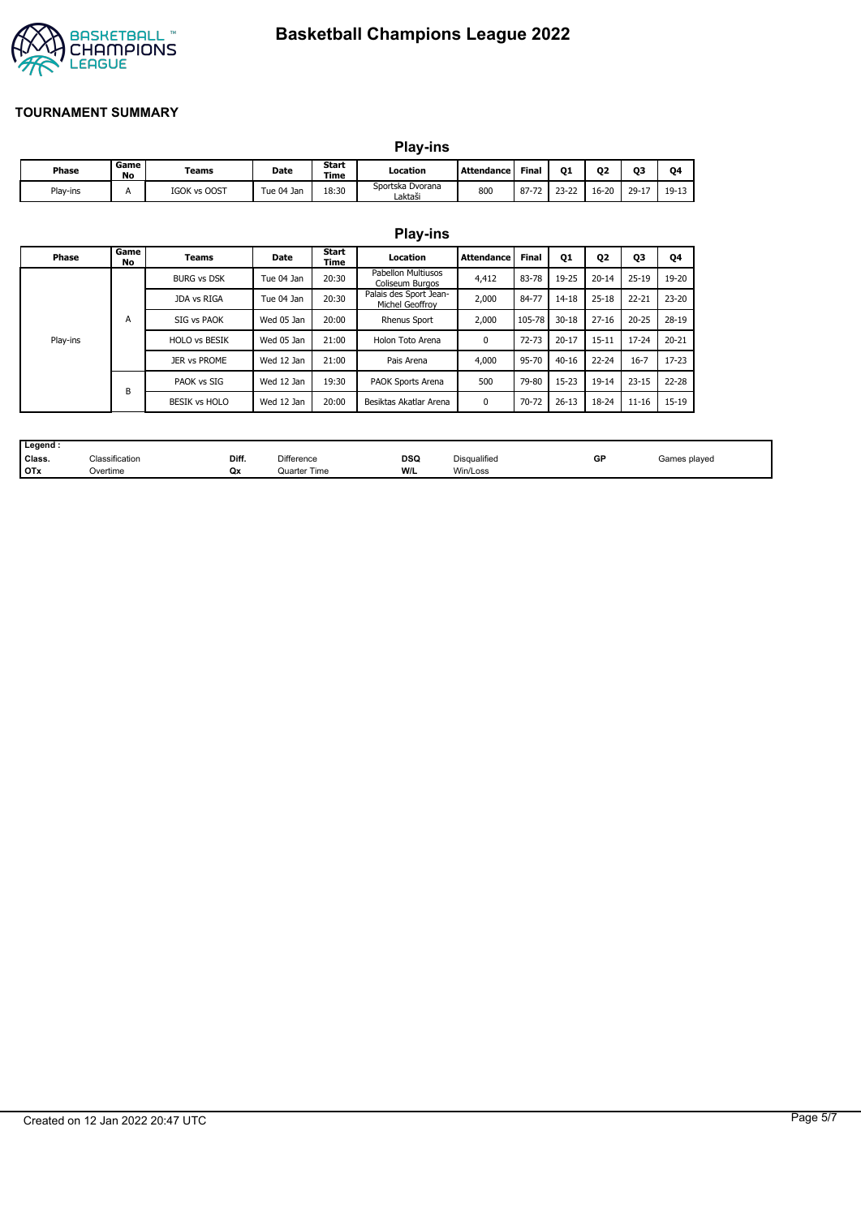

|              |            | <b>Play-ins</b>     |            |               |                             |                   |       |           |           |           |         |
|--------------|------------|---------------------|------------|---------------|-----------------------------|-------------------|-------|-----------|-----------|-----------|---------|
| <b>Phase</b> | Game<br>No | Teams               | Date       | Start<br>Time | Location                    | <b>Attendance</b> | Final | 01        | 02        | 03        | Ο4      |
| Play-ins     | А          | <b>IGOK vs OOST</b> | Tue 04 Jan | 18:30         | Sportska Dvorana<br>Laktaši | 800               | 87-72 | $23 - 22$ | $16 - 20$ | $29 - 17$ | $19-13$ |

|          |            |                      |            |                      | <b>Play-ins</b>                              |                   |              |           |                |           |           |
|----------|------------|----------------------|------------|----------------------|----------------------------------------------|-------------------|--------------|-----------|----------------|-----------|-----------|
| Phase    | Game<br>No | <b>Teams</b>         | Date       | Start<br><b>Time</b> | Location                                     | <b>Attendance</b> | <b>Final</b> | <b>Q1</b> | Q <sub>2</sub> | Q3        | Q4        |
|          |            | <b>BURG vs DSK</b>   | Tue 04 Jan | 20:30                | <b>Pabellon Multiusos</b><br>Coliseum Burgos | 4,412             | 83-78        | 19-25     | $20 - 14$      | $25 - 19$ | 19-20     |
|          |            | JDA vs RIGA          | Tue 04 Jan | 20:30                | Palais des Sport Jean-<br>Michel Geoffrov    | 2,000             | 84-77        | 14-18     | $25 - 18$      | $22 - 21$ | $23 - 20$ |
|          | A          | SIG vs PAOK          | Wed 05 Jan | 20:00                | <b>Rhenus Sport</b>                          | 2,000             | 105-78       | $30 - 18$ | $27 - 16$      | $20 - 25$ | 28-19     |
| Play-ins |            | <b>HOLO vs BESIK</b> | Wed 05 Jan | 21:00                | Holon Toto Arena                             | $\mathbf{0}$      | $72 - 73$    | $20 - 17$ | $15 - 11$      | $17 - 24$ | $20 - 21$ |
|          |            | JER vs PROME         | Wed 12 Jan | 21:00                | Pais Arena                                   | 4,000             | 95-70        | $40 - 16$ | $22 - 24$      | $16 - 7$  | $17 - 23$ |
|          | B          | PAOK vs SIG          | Wed 12 Jan | 19:30                | PAOK Sports Arena                            | 500               | 79-80        | $15 - 23$ | 19-14          | $23 - 15$ | 22-28     |
|          |            | <b>BESIK vs HOLO</b> | Wed 12 Jan | 20:00                | Besiktas Akatlar Arena                       | $\mathbf{0}$      | 70-72        | $26 - 13$ | 18-24          | $11 - 16$ | 15-19     |

| Legend     |                |       |              |            |              |              |              |
|------------|----------------|-------|--------------|------------|--------------|--------------|--------------|
| Class.     | Classification | Diff. | Difference   | <b>DSQ</b> | Disqualified | GP<br>$\sim$ | Games played |
| <b>OTx</b> | Overtime       | Qx    | Quarter Time | W/L        | Win/Loss     |              |              |

# Created on 12 Jan 2022 20:47 UTC Page 5/7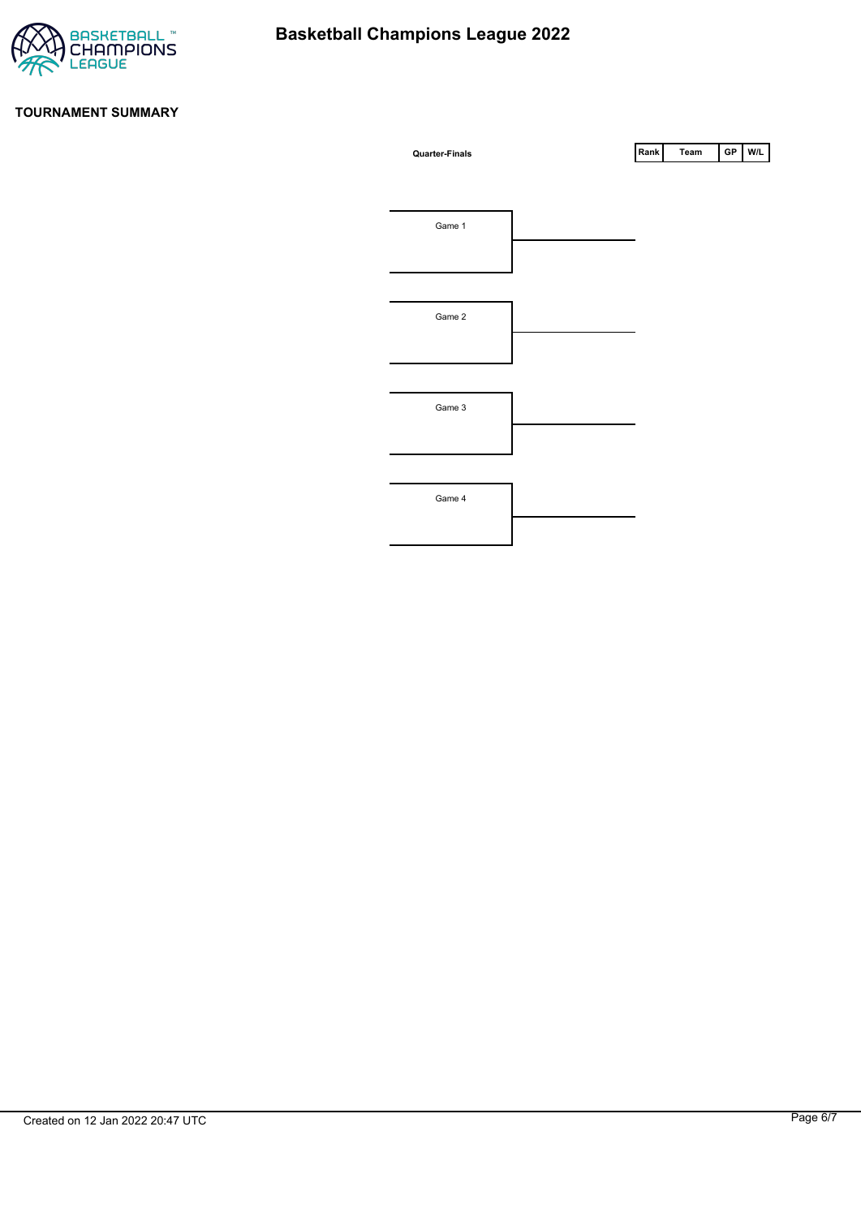